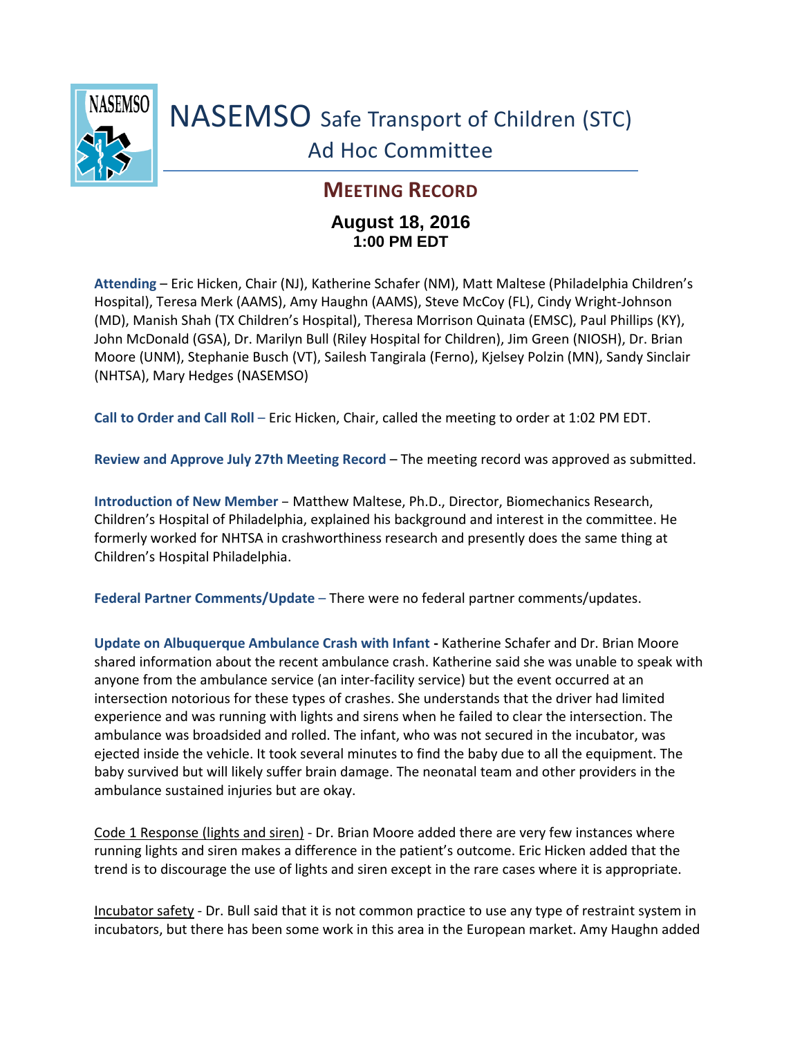

## NASEMSO Safe Transport of Children (STC) Ad Hoc Committee

## **MEETING RECORD**

## **August 18, 2016 1:00 PM EDT**

**Attending** – Eric Hicken, Chair (NJ), Katherine Schafer (NM), Matt Maltese (Philadelphia Children's Hospital), Teresa Merk (AAMS), Amy Haughn (AAMS), Steve McCoy (FL), Cindy Wright-Johnson (MD), Manish Shah (TX Children's Hospital), Theresa Morrison Quinata (EMSC), Paul Phillips (KY), John McDonald (GSA), Dr. Marilyn Bull (Riley Hospital for Children), Jim Green (NIOSH), Dr. Brian Moore (UNM), Stephanie Busch (VT), Sailesh Tangirala (Ferno), Kjelsey Polzin (MN), Sandy Sinclair (NHTSA), Mary Hedges (NASEMSO)

**Call to Order and Call Roll** – Eric Hicken, Chair, called the meeting to order at 1:02 PM EDT.

**Review and Approve July 27th Meeting Record** – The meeting record was approved as submitted.

**Introduction of New Member** – Matthew Maltese, Ph.D., Director, Biomechanics Research, Children's Hospital of Philadelphia, explained his background and interest in the committee. He formerly worked for NHTSA in crashworthiness research and presently does the same thing at Children's Hospital Philadelphia.

**Federal Partner Comments/Update** – There were no federal partner comments/updates.

**Update on Albuquerque Ambulance Crash with Infant -** Katherine Schafer and Dr. Brian Moore shared information about the recent ambulance crash. Katherine said she was unable to speak with anyone from the ambulance service (an inter-facility service) but the event occurred at an intersection notorious for these types of crashes. She understands that the driver had limited experience and was running with lights and sirens when he failed to clear the intersection. The ambulance was broadsided and rolled. The infant, who was not secured in the incubator, was ejected inside the vehicle. It took several minutes to find the baby due to all the equipment. The baby survived but will likely suffer brain damage. The neonatal team and other providers in the ambulance sustained injuries but are okay.

Code 1 Response (lights and siren) - Dr. Brian Moore added there are very few instances where running lights and siren makes a difference in the patient's outcome. Eric Hicken added that the trend is to discourage the use of lights and siren except in the rare cases where it is appropriate.

Incubator safety - Dr. Bull said that it is not common practice to use any type of restraint system in incubators, but there has been some work in this area in the European market. Amy Haughn added